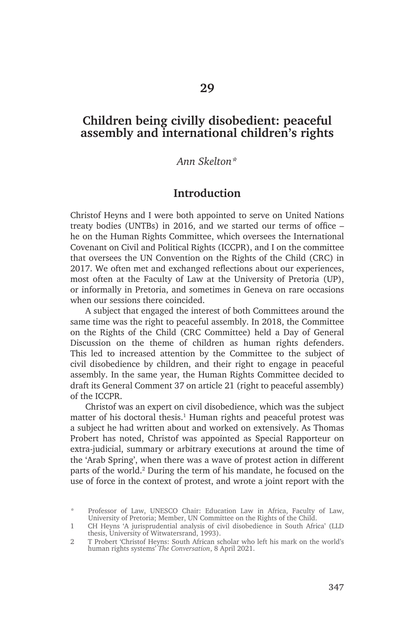## **Children being civilly disobedient: peaceful assembly and international children's rights**

#### *Ann Skelton\**

### **Introduction**

Christof Heyns and I were both appointed to serve on United Nations treaty bodies (UNTBs) in 2016, and we started our terms of office – he on the Human Rights Committee, which oversees the International Covenant on Civil and Political Rights (ICCPR), and I on the committee that oversees the UN Convention on the Rights of the Child (CRC) in 2017. We often met and exchanged reflections about our experiences, most often at the Faculty of Law at the University of Pretoria (UP), or informally in Pretoria, and sometimes in Geneva on rare occasions when our sessions there coincided.

A subject that engaged the interest of both Committees around the same time was the right to peaceful assembly. In 2018, the Committee on the Rights of the Child (CRC Committee) held a Day of General Discussion on the theme of children as human rights defenders. This led to increased attention by the Committee to the subject of civil disobedience by children, and their right to engage in peaceful assembly. In the same year, the Human Rights Committee decided to draft its General Comment 37 on article 21 (right to peaceful assembly) of the ICCPR.

Christof was an expert on civil disobedience, which was the subject matter of his doctoral thesis.<sup>1</sup> Human rights and peaceful protest was a subject he had written about and worked on extensively. As Thomas Probert has noted, Christof was appointed as Special Rapporteur on extra-judicial, summary or arbitrary executions at around the time of the 'Arab Spring', when there was a wave of protest action in different parts of the world.<sup>2</sup> During the term of his mandate, he focused on the use of force in the context of protest, and wrote a joint report with the

<sup>\*</sup> Professor of Law, UNESCO Chair: Education Law in Africa, Faculty of Law, University of Pretoria; Member, UN Committee on the Rights of the Child.

<sup>1</sup> CH Heyns 'A jurisprudential analysis of civil disobedience in South Africa' (LLD thesis, University of Witwatersrand, 1993).

<sup>2</sup> T Probert 'Christof Heyns: South African scholar who left his mark on the world's human rights systems' *The Conversation*, 8 April 2021.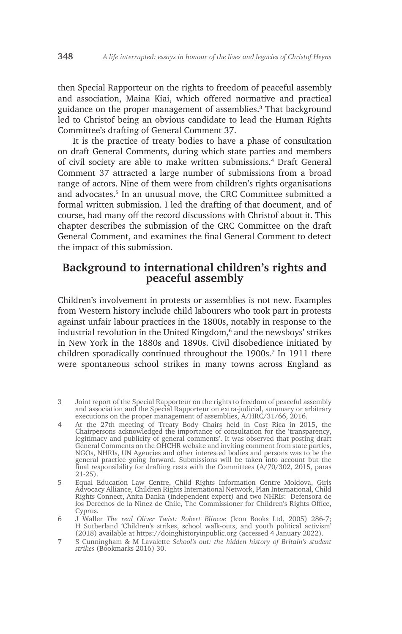then Special Rapporteur on the rights to freedom of peaceful assembly and association, Maina Kiai, which offered normative and practical guidance on the proper management of assemblies.3 That background led to Christof being an obvious candidate to lead the Human Rights Committee's drafting of General Comment 37.

It is the practice of treaty bodies to have a phase of consultation on draft General Comments, during which state parties and members of civil society are able to make written submissions.<sup>4</sup> Draft General Comment 37 attracted a large number of submissions from a broad range of actors. Nine of them were from children's rights organisations and advocates.<sup>5</sup> In an unusual move, the CRC Committee submitted a formal written submission. I led the drafting of that document, and of course, had many off the record discussions with Christof about it. This chapter describes the submission of the CRC Committee on the draft General Comment, and examines the final General Comment to detect the impact of this submission.

# **Background to international children's rights and peaceful assembly**

Children's involvement in protests or assemblies is not new. Examples from Western history include child labourers who took part in protests against unfair labour practices in the 1800s, notably in response to the industrial revolution in the United Kingdom,<sup>6</sup> and the newsboys' strikes in New York in the 1880s and 1890s. Civil disobedience initiated by children sporadically continued throughout the 1900s.<sup>7</sup> In 1911 there were spontaneous school strikes in many towns across England as

- 4 At the 27th meeting of Treaty Body Chairs held in Cost Rica in 2015, the Chairpersons acknowledged the importance of consultation for the 'transparency, legitimacy and publicity of general comments'. It was observed that posting draft General Comments on the OHCHR website and inviting comment from state parties, NGOs, NHRIs, UN Agencies and other interested bodies and persons was to be the general practice going forward. Submissions will be taken into account but the final responsibility for drafting rests with the Committees (A/70/302, 2015, paras 21-25).
- 5 Equal Education Law Centre, Child Rights Information Centre Moldova, Girls Advocacy Alliance, Children Rights International Network, Plan International, Child Rights Connect, Anita Danka (independent expert) and two NHRIs: Defensora de los Derechos de la Ninez de Chile, The Commissioner for Children's Rights Office, Cyprus.
- 6 J Waller *The real Oliver Twist: Robert Blincoe* (Icon Books Ltd, 2005) 286-7; H Sutherland 'Children's strikes, school walk-outs, and youth political activism' (2018) available at https://doinghistoryinpublic.org (accessed 4 January 2022).
- 7 S Cunningham & M Lavalette *School's out: the hidden history of Britain's student strikes* (Bookmarks 2016) 30.

<sup>3</sup> Joint report of the Special Rapporteur on the rights to freedom of peaceful assembly and association and the Special Rapporteur on extra-judicial, summary or arbitrary executions on the proper management of assemblies, A/HRC/31/66, 2016.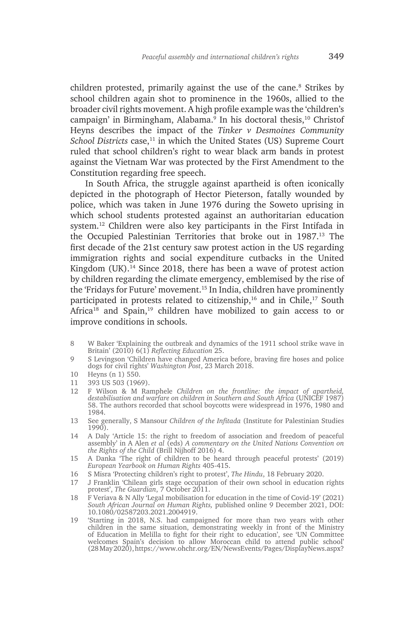children protested, primarily against the use of the cane.<sup>8</sup> Strikes by school children again shot to prominence in the 1960s, allied to the broader civil rights movement. A high profile example was the 'children's campaign' in Birmingham, Alabama.<sup>9</sup> In his doctoral thesis,10 Christof Heyns describes the impact of the *Tinker v Desmoines Community School Districts* case,<sup>11</sup> in which the United States (US) Supreme Court ruled that school children's right to wear black arm bands in protest against the Vietnam War was protected by the First Amendment to the Constitution regarding free speech.

In South Africa, the struggle against apartheid is often iconically depicted in the photograph of Hector Pieterson, fatally wounded by police, which was taken in June 1976 during the Soweto uprising in which school students protested against an authoritarian education system.12 Children were also key participants in the First Intifada in the Occupied Palestinian Territories that broke out in 1987.<sup>13</sup> The first decade of the 21st century saw protest action in the US regarding immigration rights and social expenditure cutbacks in the United Kingdom  $(UK)$ .<sup>14</sup> Since 2018, there has been a wave of protest action by children regarding the climate emergency, emblemised by the rise of the 'Fridays for Future' movement.<sup>15</sup> In India, children have prominently participated in protests related to citizenship, $16$  and in Chile, $17$  South Africa<sup>18</sup> and Spain,<sup>19</sup> children have mobilized to gain access to or improve conditions in schools.

- 8 W Baker 'Explaining the outbreak and dynamics of the 1911 school strike wave in Britain' (2010) 6(1) *Reflecting Education* 25.
- 9 S Levingson 'Children have changed America before, braving fire hoses and police dogs for civil rights' *Washington Post*, 23 March 2018.
- 10 Heyns (n 1) 550.
- 11 393 US 503 (1969).
- 12 F Wilson & M Ramphele *Children on the frontline: the impact of apartheid, destabilisation and warfare on children in Southern and South Africa* (UNICEF 1987) 58. The authors recorded that school boycotts were widespread in 1976, 1980 and 1984.
- 13 See generally, S Mansour *Children of the Infitada* (Institute for Palestinian Studies 1990).
- 14 A Daly 'Article 15: the right to freedom of association and freedom of peaceful assembly' in A Alen *et al* (eds) *A commentary on the United Nations Convention on the Rights of the Child* (Brill Nijhoff 2016) 4.
- 15 A Danka 'The right of children to be heard through peaceful protests' (2019) *European Yearbook on Human Rights* 405-415.
- 16 S Misra 'Protecting children's right to protest', *The Hindu*, 18 February 2020.
- 17 J Franklin 'Chilean girls stage occupation of their own school in education rights protest', *The Guardian*, 7 October 2011.
- 18 F Veriava & N Ally 'Legal mobilisation for education in the time of Covid-19' (2021) *South African Journal on Human Rights,* published online 9 December 2021, DOI: 10.1080/02587203.2021.2004919.
- 19 'Starting in 2018, N.S. had campaigned for more than two years with other children in the same situation, demonstrating weekly in front of the Ministry of Education in Melilla to fight for their right to education', see 'UN Committee welcomes Spain's decision to allow Moroccan child to attend public school' (28 May 2020), https://www.ohchr.org/EN/NewsEvents/Pages/DisplayNews.aspx?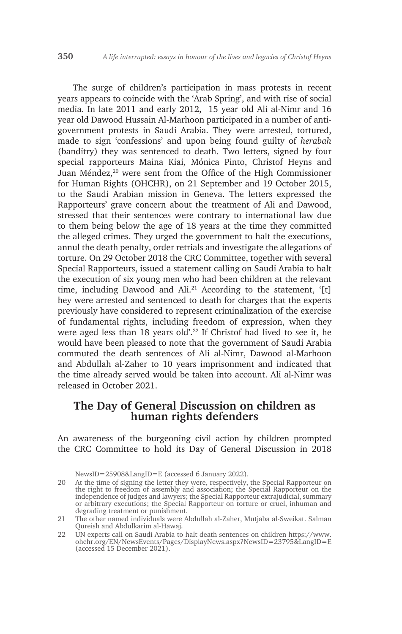The surge of children's participation in mass protests in recent years appears to coincide with the 'Arab Spring', and with rise of social media. In late 2011 and early 2012, 15 year old Ali al-Nimr and 16 year old Dawood Hussain Al-Marhoon participated in a number of antigovernment protests in Saudi Arabia. They were arrested, tortured, made to sign 'confessions' and upon being found guilty of *herabah* (banditry) they was sentenced to death. Two letters, signed by four special rapporteurs Maina Kiai, Mónica Pinto, Christof Heyns and Juan Méndez,<sup>20</sup> were sent from the Office of the High Commissioner for Human Rights (OHCHR), on 21 September and 19 October 2015, to the Saudi Arabian mission in Geneva. The letters expressed the Rapporteurs' grave concern about the treatment of Ali and Dawood, stressed that their sentences were contrary to international law due to them being below the age of 18 years at the time they committed the alleged crimes. They urged the government to halt the executions, annul the death penalty, order retrials and investigate the allegations of torture. On 29 October 2018 the CRC Committee, together with several Special Rapporteurs, issued a statement calling on Saudi Arabia to halt the execution of six young men who had been children at the relevant time, including Dawood and Ali.<sup>21</sup> According to the statement, '[t] hey were arrested and sentenced to death for charges that the experts previously have considered to represent criminalization of the exercise of fundamental rights, including freedom of expression, when they were aged less than 18 years old'.<sup>22</sup> If Christof had lived to see it, he would have been pleased to note that the government of Saudi Arabia commuted the death sentences of Ali al-Nimr, Dawood al-Marhoon and Abdullah al-Zaher to 10 years imprisonment and indicated that the time already served would be taken into account. Ali al-Nimr was released in October 2021.

# **The Day of General Discussion on children as human rights defenders**

An awareness of the burgeoning civil action by children prompted the CRC Committee to hold its Day of General Discussion in 2018

NewsID=25908&LangID=E (accessed 6 January 2022).

<sup>20</sup> At the time of signing the letter they were, respectively, the Special Rapporteur on the right to freedom of assembly and association; the Special Rapporteur on the independence of judges and lawyers; the Special Rapporteur extrajudicial, summary or arbitrary executions; the Special Rapporteur on torture or cruel, inhuman and degrading treatment or punishment.

<sup>21</sup> The other named individuals were Abdullah al-Zaher, Mutjaba al-Sweikat. Salman Qureish and Abdulkarim al-Hawaj.

<sup>22</sup> UN experts call on Saudi Arabia to halt death sentences on children https://www. ohchr.org/EN/NewsEvents/Pages/DisplayNews.aspx?NewsID=23795&LangID=E (accessed 15 December 2021).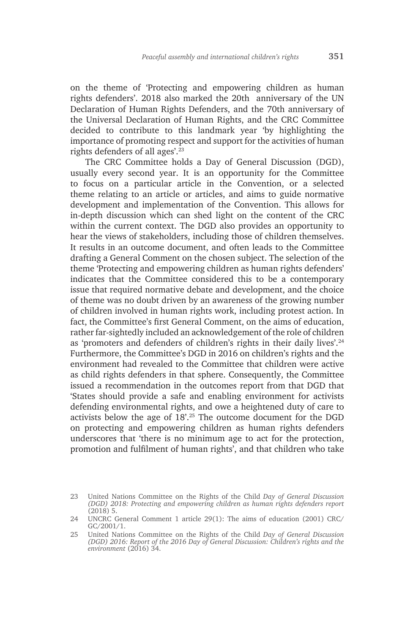on the theme of 'Protecting and empowering children as human rights defenders'. 2018 also marked the 20th anniversary of the UN Declaration of Human Rights Defenders, and the 70th anniversary of the Universal Declaration of Human Rights, and the CRC Committee decided to contribute to this landmark year 'by highlighting the importance of promoting respect and support for the activities of human rights defenders of all ages'.23

The CRC Committee holds a Day of General Discussion (DGD), usually every second year. It is an opportunity for the Committee to focus on a particular article in the Convention, or a selected theme relating to an article or articles, and aims to guide normative development and implementation of the Convention. This allows for in-depth discussion which can shed light on the content of the CRC within the current context. The DGD also provides an opportunity to hear the views of stakeholders, including those of children themselves. It results in an outcome document, and often leads to the Committee drafting a General Comment on the chosen subject. The selection of the theme 'Protecting and empowering children as human rights defenders' indicates that the Committee considered this to be a contemporary issue that required normative debate and development, and the choice of theme was no doubt driven by an awareness of the growing number of children involved in human rights work, including protest action. In fact, the Committee's first General Comment, on the aims of education, rather far-sightedly included an acknowledgement of the role of children as 'promoters and defenders of children's rights in their daily lives'.<sup>24</sup> Furthermore, the Committee's DGD in 2016 on children's rights and the environment had revealed to the Committee that children were active as child rights defenders in that sphere. Consequently, the Committee issued a recommendation in the outcomes report from that DGD that 'States should provide a safe and enabling environment for activists defending environmental rights, and owe a heightened duty of care to activists below the age of 18'.25 The outcome document for the DGD on protecting and empowering children as human rights defenders underscores that 'there is no minimum age to act for the protection, promotion and fulfilment of human rights', and that children who take

<sup>23</sup> United Nations Committee on the Rights of the Child *Day of General Discussion (DGD) 2018: Protecting and empowering children as human rights defenders report* (2018) 5.

<sup>24</sup> UNCRC General Comment 1 article 29(1): The aims of education (2001) CRC/ GC/2001/1.

<sup>25</sup> United Nations Committee on the Rights of the Child *Day of General Discussion (DGD) 2016: Report of the 2016 Day of General Discussion: Children's rights and the environment* (2016) 34.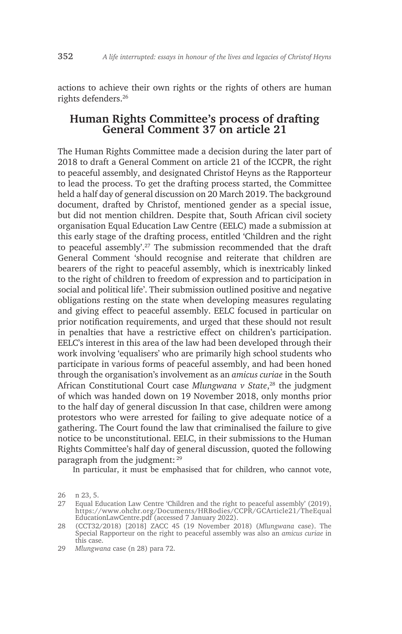actions to achieve their own rights or the rights of others are human rights defenders.26

# **Human Rights Committee's process of drafting General Comment 37 on article 21**

The Human Rights Committee made a decision during the later part of 2018 to draft a General Comment on article 21 of the ICCPR, the right to peaceful assembly, and designated Christof Heyns as the Rapporteur to lead the process. To get the drafting process started, the Committee held a half day of general discussion on 20 March 2019. The background document, drafted by Christof, mentioned gender as a special issue, but did not mention children. Despite that, South African civil society organisation Equal Education Law Centre (EELC) made a submission at this early stage of the drafting process, entitled 'Children and the right to peaceful assembly'.<sup>27</sup> The submission recommended that the draft General Comment 'should recognise and reiterate that children are bearers of the right to peaceful assembly, which is inextricably linked to the right of children to freedom of expression and to participation in social and political life'. Their submission outlined positive and negative obligations resting on the state when developing measures regulating and giving effect to peaceful assembly. EELC focused in particular on prior notification requirements, and urged that these should not result in penalties that have a restrictive effect on children's participation. EELC's interest in this area of the law had been developed through their work involving 'equalisers' who are primarily high school students who participate in various forms of peaceful assembly, and had been honed through the organisation's involvement as an *amicus curiae* in the South African Constitutional Court case *Mlungwana v State*, <sup>28</sup> the judgment of which was handed down on 19 November 2018, only months prior to the half day of general discussion In that case, children were among protestors who were arrested for failing to give adequate notice of a gathering. The Court found the law that criminalised the failure to give notice to be unconstitutional. EELC, in their submissions to the Human Rights Committee's half day of general discussion, quoted the following paragraph from the judgment: <sup>29</sup>

In particular, it must be emphasised that for children, who cannot vote,

<sup>26</sup> n 23, 5.

<sup>27</sup> Equal Education Law Centre 'Children and the right to peaceful assembly' (2019), https://www.ohchr.org/Documents/HRBodies/CCPR/GCArticle21/TheEqual EducationLawCentre.pdf (accessed 7 January 2022).

<sup>28</sup> (CCT32/2018) [2018] ZACC 45 (19 November 2018) (*Mlungwana* case). The Special Rapporteur on the right to peaceful assembly was also an *amicus curiae* in this case.

<sup>29</sup> *Mlungwana* case (n 28) para 72.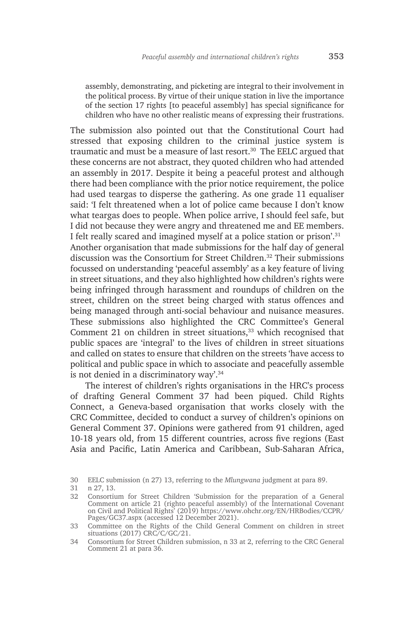assembly, demonstrating, and picketing are integral to their involvement in the political process. By virtue of their unique station in live the importance of the section 17 rights [to peaceful assembly] has special significance for children who have no other realistic means of expressing their frustrations.

The submission also pointed out that the Constitutional Court had stressed that exposing children to the criminal justice system is traumatic and must be a measure of last resort.<sup>30</sup> The EELC argued that these concerns are not abstract, they quoted children who had attended an assembly in 2017. Despite it being a peaceful protest and although there had been compliance with the prior notice requirement, the police had used teargas to disperse the gathering. As one grade 11 equaliser said: 'I felt threatened when a lot of police came because I don't know what teargas does to people. When police arrive, I should feel safe, but I did not because they were angry and threatened me and EE members. I felt really scared and imagined myself at a police station or prison'.31 Another organisation that made submissions for the half day of general discussion was the Consortium for Street Children.<sup>32</sup> Their submissions focussed on understanding 'peaceful assembly' as a key feature of living in street situations, and they also highlighted how children's rights were being infringed through harassment and roundups of children on the street, children on the street being charged with status offences and being managed through anti-social behaviour and nuisance measures. These submissions also highlighted the CRC Committee's General Comment 21 on children in street situations, $33$  which recognised that public spaces are 'integral' to the lives of children in street situations and called on states to ensure that children on the streets 'have access to political and public space in which to associate and peacefully assemble is not denied in a discriminatory way'.34

The interest of children's rights organisations in the HRC's process of drafting General Comment 37 had been piqued. Child Rights Connect, a Geneva-based organisation that works closely with the CRC Committee, decided to conduct a survey of children's opinions on General Comment 37. Opinions were gathered from 91 children, aged 10-18 years old, from 15 different countries, across five regions (East Asia and Pacific, Latin America and Caribbean, Sub-Saharan Africa,

<sup>30</sup> EELC submission (n 27) 13, referring to the *Mlungwana* judgment at para 89.

<sup>31</sup> n 27, 13.

<sup>32</sup> Consortium for Street Children 'Submission for the preparation of a General Comment on article 21 (righto peaceful assembly) of the International Covenant on Civil and Political Rights' (2019) https://www.ohchr.org/EN/HRBodies/CCPR/ Pages/GC37.aspx (accessed 12 December 2021).

<sup>33</sup> Committee on the Rights of the Child General Comment on children in street situations (2017) CRC/C/GC/21.

<sup>34</sup> Consortium for Street Children submission, n 33 at 2, referring to the CRC General Comment 21 at para 36.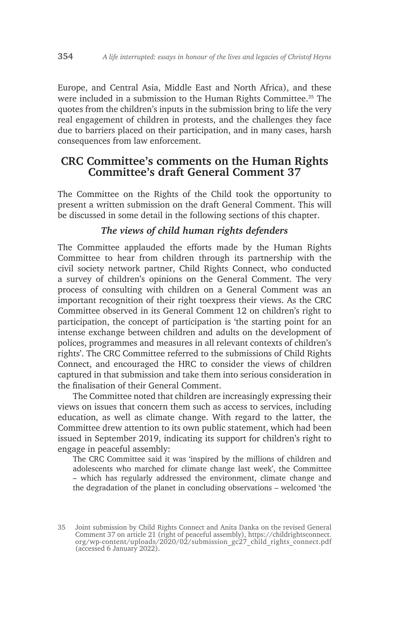Europe, and Central Asia, Middle East and North Africa), and these were included in a submission to the Human Rights Committee.35 The quotes from the children's inputs in the submission bring to life the very real engagement of children in protests, and the challenges they face due to barriers placed on their participation, and in many cases, harsh consequences from law enforcement.

# **CRC Committee's comments on the Human Rights Committee's draft General Comment 37**

The Committee on the Rights of the Child took the opportunity to present a written submission on the draft General Comment. This will be discussed in some detail in the following sections of this chapter.

### *The views of child human rights defenders*

The Committee applauded the efforts made by the Human Rights Committee to hear from children through its partnership with the civil society network partner, Child Rights Connect, who conducted a survey of children's opinions on the General Comment. The very process of consulting with children on a General Comment was an important recognition of their right toexpress their views. As the CRC Committee observed in its General Comment 12 on children's right to participation, the concept of participation is 'the starting point for an intense exchange between children and adults on the development of polices, programmes and measures in all relevant contexts of children's rights'. The CRC Committee referred to the submissions of Child Rights Connect, and encouraged the HRC to consider the views of children captured in that submission and take them into serious consideration in the finalisation of their General Comment.

The Committee noted that children are increasingly expressing their views on issues that concern them such as access to services, including education, as well as climate change. With regard to the latter, the Committee drew attention to its own public statement, which had been issued in September 2019, indicating its support for children's right to engage in peaceful assembly:

The CRC Committee said it was 'inspired by the millions of children and adolescents who marched for climate change last week', the Committee – which has regularly addressed the environment, climate change and the degradation of the planet in concluding observations – welcomed 'the

<sup>35</sup> Joint submission by Child Rights Connect and Anita Danka on the revised General Comment 37 on article 21 (right of peaceful assembly), https://childrightsconnect. org/wp-content/uploads/2020/02/submission\_gc27\_child\_rights\_connect.pdf (accessed 6 January 2022).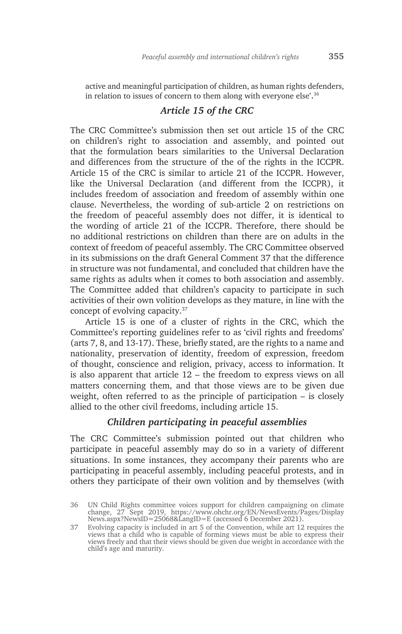active and meaningful participation of children, as human rights defenders, in relation to issues of concern to them along with everyone else'.<sup>36</sup>

#### *Article 15 of the CRC*

The CRC Committee's submission then set out article 15 of the CRC on children's right to association and assembly, and pointed out that the formulation bears similarities to the Universal Declaration and differences from the structure of the of the rights in the ICCPR. Article 15 of the CRC is similar to article 21 of the ICCPR. However, like the Universal Declaration (and different from the ICCPR), it includes freedom of association and freedom of assembly within one clause. Nevertheless, the wording of sub-article 2 on restrictions on the freedom of peaceful assembly does not differ, it is identical to the wording of article 21 of the ICCPR. Therefore, there should be no additional restrictions on children than there are on adults in the context of freedom of peaceful assembly. The CRC Committee observed in its submissions on the draft General Comment 37 that the difference in structure was not fundamental, and concluded that children have the same rights as adults when it comes to both association and assembly. The Committee added that children's capacity to participate in such activities of their own volition develops as they mature, in line with the concept of evolving capacity.37

Article 15 is one of a cluster of rights in the CRC, which the Committee's reporting guidelines refer to as 'civil rights and freedoms' (arts 7, 8, and 13-17). These, briefly stated, are the rights to a name and nationality, preservation of identity, freedom of expression, freedom of thought, conscience and religion, privacy, access to information. It is also apparent that article 12 – the freedom to express views on all matters concerning them, and that those views are to be given due weight, often referred to as the principle of participation – is closely allied to the other civil freedoms, including article 15.

#### *Children participating in peaceful assemblies*

The CRC Committee's submission pointed out that children who participate in peaceful assembly may do so in a variety of different situations. In some instances, they accompany their parents who are participating in peaceful assembly, including peaceful protests, and in others they participate of their own volition and by themselves (with

<sup>36</sup> UN Child Rights committee voices support for children campaigning on climate change, 27 Sept 2019, https://www.ohchr.org/EN/NewsEvents/Pages/Display News.aspx?NewsID=25068&LangID=E (accessed 6 December 2021).

<sup>37</sup> Evolving capacity is included in art 5 of the Convention, while art 12 requires the views that a child who is capable of forming views must be able to express their views freely and that their views should be given due weight in accordance with the child's age and maturity.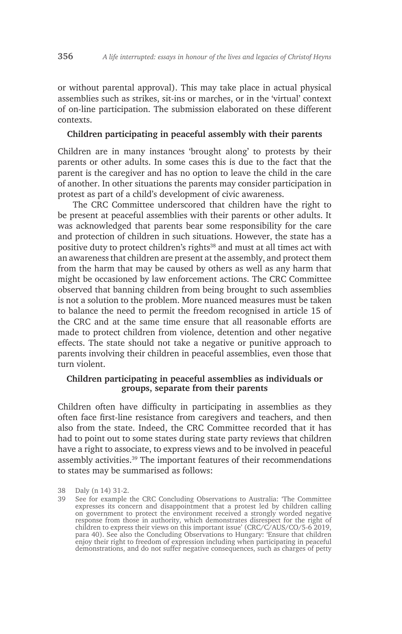or without parental approval). This may take place in actual physical assemblies such as strikes, sit-ins or marches, or in the 'virtual' context of on-line participation. The submission elaborated on these different contexts.

#### **Children participating in peaceful assembly with their parents**

Children are in many instances 'brought along' to protests by their parents or other adults. In some cases this is due to the fact that the parent is the caregiver and has no option to leave the child in the care of another. In other situations the parents may consider participation in protest as part of a child's development of civic awareness.

The CRC Committee underscored that children have the right to be present at peaceful assemblies with their parents or other adults. It was acknowledged that parents bear some responsibility for the care and protection of children in such situations. However, the state has a positive duty to protect children's rights<sup>38</sup> and must at all times act with an awareness that children are present at the assembly, and protect them from the harm that may be caused by others as well as any harm that might be occasioned by law enforcement actions. The CRC Committee observed that banning children from being brought to such assemblies is not a solution to the problem. More nuanced measures must be taken to balance the need to permit the freedom recognised in article 15 of the CRC and at the same time ensure that all reasonable efforts are made to protect children from violence, detention and other negative effects. The state should not take a negative or punitive approach to parents involving their children in peaceful assemblies, even those that turn violent.

#### **Children participating in peaceful assemblies as individuals or groups, separate from their parents**

Children often have difficulty in participating in assemblies as they often face first-line resistance from caregivers and teachers, and then also from the state. Indeed, the CRC Committee recorded that it has had to point out to some states during state party reviews that children have a right to associate, to express views and to be involved in peaceful assembly activities.<sup>39</sup> The important features of their recommendations to states may be summarised as follows:

<sup>38</sup> Daly (n 14) 31-2.

<sup>39</sup> See for example the CRC Concluding Observations to Australia: 'The Committee expresses its concern and disappointment that a protest led by children calling on government to protect the environment received a strongly worded negative response from those in authority, which demonstrates disrespect for the right of children to express their views on this important issue' (CRC/C/AUS/CO/5-6 2019, para 40). See also the Concluding Observations to Hungary: 'Ensure that children enjoy their right to freedom of expression including when participating in peaceful demonstrations, and do not suffer negative consequences, such as charges of petty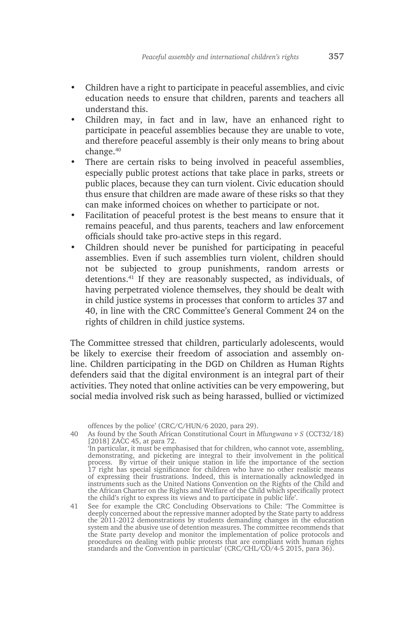- Children have a right to participate in peaceful assemblies, and civic education needs to ensure that children, parents and teachers all understand this.
- Children may, in fact and in law, have an enhanced right to participate in peaceful assemblies because they are unable to vote, and therefore peaceful assembly is their only means to bring about change.<sup>40</sup>
- There are certain risks to being involved in peaceful assemblies, especially public protest actions that take place in parks, streets or public places, because they can turn violent. Civic education should thus ensure that children are made aware of these risks so that they can make informed choices on whether to participate or not.
- Facilitation of peaceful protest is the best means to ensure that it remains peaceful, and thus parents, teachers and law enforcement officials should take pro-active steps in this regard.
- Children should never be punished for participating in peaceful assemblies. Even if such assemblies turn violent, children should not be subjected to group punishments, random arrests or detentions.<sup>41</sup> If they are reasonably suspected, as individuals, of having perpetrated violence themselves, they should be dealt with in child justice systems in processes that conform to articles 37 and 40, in line with the CRC Committee's General Comment 24 on the rights of children in child justice systems.

The Committee stressed that children, particularly adolescents, would be likely to exercise their freedom of association and assembly online. Children participating in the DGD on Children as Human Rights defenders said that the digital environment is an integral part of their activities. They noted that online activities can be very empowering, but social media involved risk such as being harassed, bullied or victimized

offences by the police' (CRC/C/HUN/6 2020, para 29).

<sup>40</sup> As found by the South African Constitutional Court in *Mlungwana v S* (CCT32/18) [2018] ZACC 45, at para 72.

<sup>&#</sup>x27;In particular, it must be emphasised that for children, who cannot vote, assembling, demonstrating, and picketing are integral to their involvement in the political process. By virtue of their unique station in life the importance of the section 17 right has special significance for children who have no other realistic means of expressing their frustrations. Indeed, this is internationally acknowledged in instruments such as the United Nations Convention on the Rights of the Child and the African Charter on the Rights and Welfare of the Child which specifically protect the child's right to express its views and to participate in public life'.

<sup>41</sup> See for example the CRC Concluding Observations to Chile: 'The Committee is deeply concerned about the repressive manner adopted by the State party to address the 2011-2012 demonstrations by students demanding changes in the education system and the abusive use of detention measures. The committee recommends that the State party develop and monitor the implementation of police protocols and procedures on dealing with public protests that are compliant with human rights standards and the Convention in particular' (CRC/CHL/CO/4-5 2015, para 36).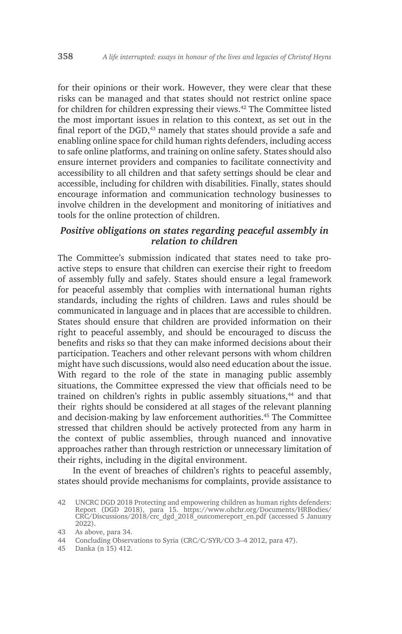for their opinions or their work. However, they were clear that these risks can be managed and that states should not restrict online space for children for children expressing their views.42 The Committee listed the most important issues in relation to this context, as set out in the final report of the DGD,<sup>43</sup> namely that states should provide a safe and enabling online space for child human rights defenders, including access to safe online platforms, and training on online safety. States should also ensure internet providers and companies to facilitate connectivity and accessibility to all children and that safety settings should be clear and accessible, including for children with disabilities. Finally, states should encourage information and communication technology businesses to involve children in the development and monitoring of initiatives and tools for the online protection of children.

#### *Positive obligations on states regarding peaceful assembly in relation to children*

The Committee's submission indicated that states need to take proactive steps to ensure that children can exercise their right to freedom of assembly fully and safely. States should ensure a legal framework for peaceful assembly that complies with international human rights standards, including the rights of children. Laws and rules should be communicated in language and in places that are accessible to children. States should ensure that children are provided information on their right to peaceful assembly, and should be encouraged to discuss the benefits and risks so that they can make informed decisions about their participation. Teachers and other relevant persons with whom children might have such discussions, would also need education about the issue. With regard to the role of the state in managing public assembly situations, the Committee expressed the view that officials need to be trained on children's rights in public assembly situations,<sup>44</sup> and that their rights should be considered at all stages of the relevant planning and decision-making by law enforcement authorities.<sup>45</sup> The Committee stressed that children should be actively protected from any harm in the context of public assemblies, through nuanced and innovative approaches rather than through restriction or unnecessary limitation of their rights, including in the digital environment.

In the event of breaches of children's rights to peaceful assembly, states should provide mechanisms for complaints, provide assistance to

<sup>42</sup> UNCRC DGD 2018 Protecting and empowering children as human rights defenders: Report (DGD 2018), para 15. https://www.ohchr.org/Documents/HRBodies/ CRC/Discussions/2018/crc\_dgd\_2018\_outcomereport\_en.pdf (accessed 5 January 2022).

<sup>43</sup> As above, para 34.

<sup>44</sup> Concluding Observations to Syria (CRC/C/SYR/CO 3–4 2012, para 47).

<sup>45</sup> Danka (n 15) 412.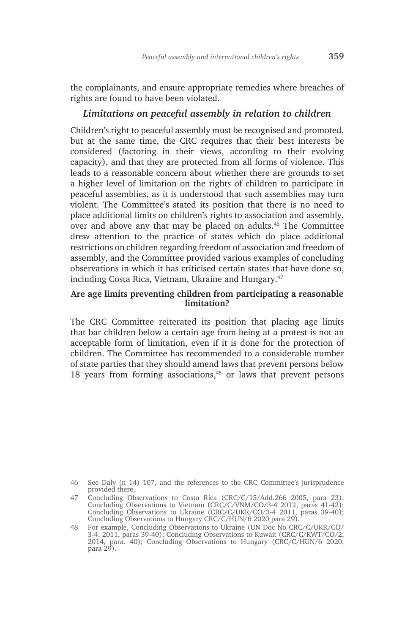the complainants, and ensure appropriate remedies where breaches of rights are found to have been violated.

#### *Limitations on peaceful assembly in relation to children*

Children's right to peaceful assembly must be recognised and promoted, but at the same time, the CRC requires that their best interests be considered (factoring in their views, according to their evolving capacity), and that they are protected from all forms of violence. This leads to a reasonable concern about whether there are grounds to set a higher level of limitation on the rights of children to participate in peaceful assemblies, as it is understood that such assemblies may turn violent. The Committee's stated its position that there is no need to place additional limits on children's rights to association and assembly, over and above any that may be placed on adults.46 The Committee drew attention to the practice of states which do place additional restrictions on children regarding freedom of association and freedom of assembly, and the Committee provided various examples of concluding observations in which it has criticised certain states that have done so, including Costa Rica, Vietnam, Ukraine and Hungary.<sup>47</sup>

#### **Are age limits preventing children from participating a reasonable limitation?**

The CRC Committee reiterated its position that placing age limits that bar children below a certain age from being at a protest is not an acceptable form of limitation, even if it is done for the protection of children. The Committee has recommended to a considerable number of state parties that they should amend laws that prevent persons below 18 years from forming associations, $48$  or laws that prevent persons

<sup>46</sup> See Daly (n 14) 107, and the references to the CRC Committee's jurisprudence provided there.

<sup>47</sup> Concluding Observations to Costa Rica (CRC/C/15/Add.266 2005, para 23); Concluding Observations to Vietnam (CRC/C/VNM/CO/3-4 2012, paras 41-42); Concluding Observations to Ukraine (CRC/C/UKR/CO/3-4 2011, paras 39-40); Concluding Observations to Hungary CRC/C/HUN/6 2020 para 29).

<sup>48</sup> For example, Concluding Observations to Ukraine (UN Doc No CRC/C/UKR/CO/ 3-4, 2011, paras 39-40); Concluding Observations to Kuwait (CRC/C/KWT/CO/2, 2014, para. 40); Concluding Observations to Hungary (CRC/C/HUN/6 2020, para 29).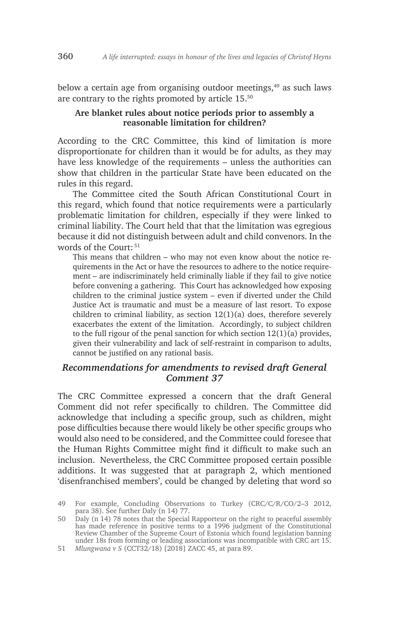below a certain age from organising outdoor meetings,<sup>49</sup> as such laws are contrary to the rights promoted by article 15.<sup>50</sup>

#### **Are blanket rules about notice periods prior to assembly a reasonable limitation for children?**

According to the CRC Committee, this kind of limitation is more disproportionate for children than it would be for adults, as they may have less knowledge of the requirements – unless the authorities can show that children in the particular State have been educated on the rules in this regard.

The Committee cited the South African Constitutional Court in this regard, which found that notice requirements were a particularly problematic limitation for children, especially if they were linked to criminal liability. The Court held that that the limitation was egregious because it did not distinguish between adult and child convenors. In the words of the Court: <sup>51</sup>

This means that children – who may not even know about the notice requirements in the Act or have the resources to adhere to the notice requirement – are indiscriminately held criminally liable if they fail to give notice before convening a gathering. This Court has acknowledged how exposing children to the criminal justice system – even if diverted under the Child Justice Act is traumatic and must be a measure of last resort. To expose children to criminal liability, as section 12(1)(a) does, therefore severely exacerbates the extent of the limitation. Accordingly, to subject children to the full rigour of the penal sanction for which section 12(1)(a) provides, given their vulnerability and lack of self-restraint in comparison to adults, cannot be justified on any rational basis.

#### *Recommendations for amendments to revised draft General Comment 37*

The CRC Committee expressed a concern that the draft General Comment did not refer specifically to children. The Committee did acknowledge that including a specific group, such as children, might pose difficulties because there would likely be other specific groups who would also need to be considered, and the Committee could foresee that the Human Rights Committee might find it difficult to make such an inclusion. Nevertheless, the CRC Committee proposed certain possible additions. It was suggested that at paragraph 2, which mentioned 'disenfranchised members', could be changed by deleting that word so

50 Daly (n 14) 78 notes that the Special Rapporteur on the right to peaceful assembly has made reference in positive terms to a 1996 judgment of the Constitutional Review Chamber of the Supreme Court of Estonia which found legislation banning under 18s from forming or leading associations was incompatible with CRC art 15.

<sup>49</sup> For example, Concluding Observations to Turkey (CRC/C/R/CO/2–3 2012, para 38). See further Daly (n 14) 77.

<sup>51</sup> *Mlungwana v S* (CCT32/18) [2018] ZACC 45, at para 89.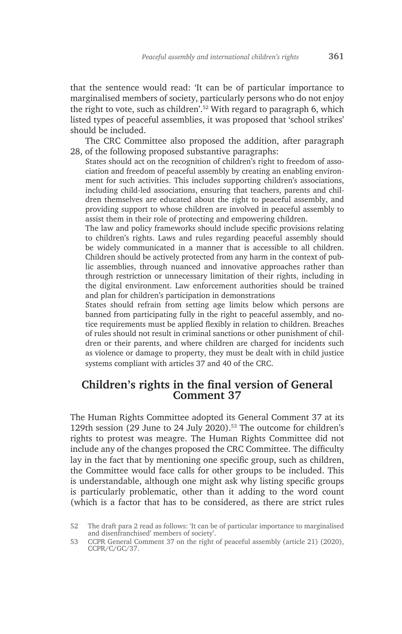that the sentence would read: 'It can be of particular importance to marginalised members of society, particularly persons who do not enjoy the right to vote, such as children'.52 With regard to paragraph 6, which listed types of peaceful assemblies, it was proposed that 'school strikes' should be included.

The CRC Committee also proposed the addition, after paragraph 28, of the following proposed substantive paragraphs:

States should act on the recognition of children's right to freedom of association and freedom of peaceful assembly by creating an enabling environment for such activities. This includes supporting children's associations, including child-led associations, ensuring that teachers, parents and children themselves are educated about the right to peaceful assembly, and providing support to whose children are involved in peaceful assembly to assist them in their role of protecting and empowering children.

The law and policy frameworks should include specific provisions relating to children's rights. Laws and rules regarding peaceful assembly should be widely communicated in a manner that is accessible to all children. Children should be actively protected from any harm in the context of public assemblies, through nuanced and innovative approaches rather than through restriction or unnecessary limitation of their rights, including in the digital environment. Law enforcement authorities should be trained and plan for children's participation in demonstrations

States should refrain from setting age limits below which persons are banned from participating fully in the right to peaceful assembly, and notice requirements must be applied flexibly in relation to children. Breaches of rules should not result in criminal sanctions or other punishment of children or their parents, and where children are charged for incidents such as violence or damage to property, they must be dealt with in child justice systems compliant with articles 37 and 40 of the CRC.

### **Children's rights in the final version of General Comment 37**

The Human Rights Committee adopted its General Comment 37 at its 129th session (29 June to 24 July 2020).<sup>53</sup> The outcome for children's rights to protest was meagre. The Human Rights Committee did not include any of the changes proposed the CRC Committee. The difficulty lay in the fact that by mentioning one specific group, such as children, the Committee would face calls for other groups to be included. This is understandable, although one might ask why listing specific groups is particularly problematic, other than it adding to the word count (which is a factor that has to be considered, as there are strict rules

<sup>52</sup> The draft para 2 read as follows: 'It can be of particular importance to marginalised and disenfranchised' members of society'.

<sup>53</sup> CCPR General Comment 37 on the right of peaceful assembly (article 21) (2020), CCPR/C/GC/37.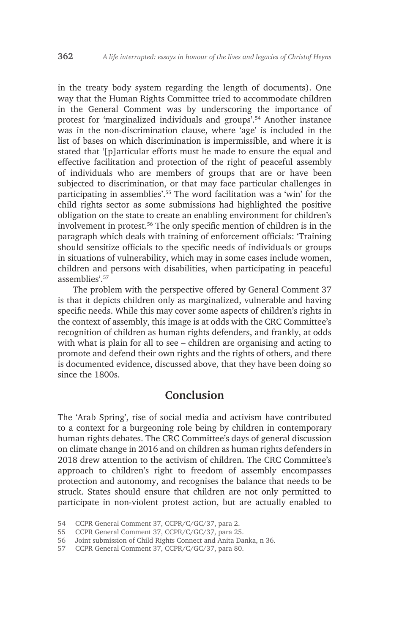in the treaty body system regarding the length of documents). One way that the Human Rights Committee tried to accommodate children in the General Comment was by underscoring the importance of protest for 'marginalized individuals and groups'.54 Another instance was in the non-discrimination clause, where 'age' is included in the list of bases on which discrimination is impermissible, and where it is stated that '[p]articular efforts must be made to ensure the equal and effective facilitation and protection of the right of peaceful assembly of individuals who are members of groups that are or have been subjected to discrimination, or that may face particular challenges in participating in assemblies'.55 The word facilitation was a 'win' for the child rights sector as some submissions had highlighted the positive obligation on the state to create an enabling environment for children's involvement in protest.56 The only specific mention of children is in the paragraph which deals with training of enforcement officials: 'Training should sensitize officials to the specific needs of individuals or groups in situations of vulnerability, which may in some cases include women, children and persons with disabilities, when participating in peaceful assemblies' <sup>57</sup>

The problem with the perspective offered by General Comment 37 is that it depicts children only as marginalized, vulnerable and having specific needs. While this may cover some aspects of children's rights in the context of assembly, this image is at odds with the CRC Committee's recognition of children as human rights defenders, and frankly, at odds with what is plain for all to see – children are organising and acting to promote and defend their own rights and the rights of others, and there is documented evidence, discussed above, that they have been doing so since the 1800s.

### **Conclusion**

The 'Arab Spring', rise of social media and activism have contributed to a context for a burgeoning role being by children in contemporary human rights debates. The CRC Committee's days of general discussion on climate change in 2016 and on children as human rights defenders in 2018 drew attention to the activism of children. The CRC Committee's approach to children's right to freedom of assembly encompasses protection and autonomy, and recognises the balance that needs to be struck. States should ensure that children are not only permitted to participate in non-violent protest action, but are actually enabled to

<sup>54</sup> CCPR General Comment 37, CCPR/C/GC/37, para 2.

<sup>55</sup> CCPR General Comment 37, CCPR/C/GC/37, para 25.

<sup>56</sup> Joint submission of Child Rights Connect and Anita Danka, n 36.

<sup>57</sup> CCPR General Comment 37, CCPR/C/GC/37, para 80.